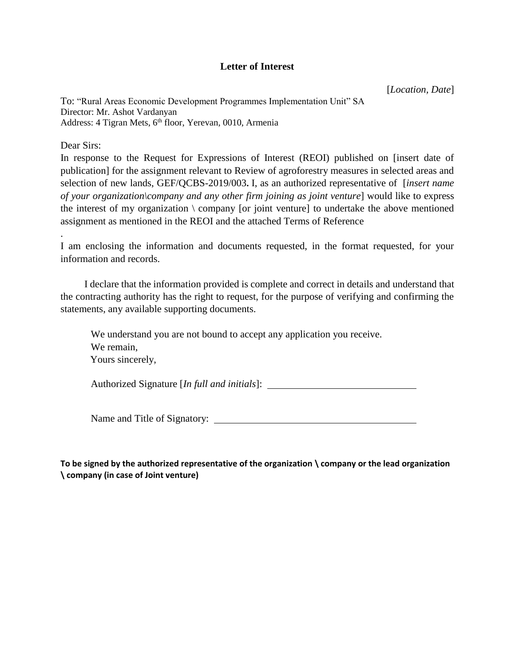## **Letter of Interest**

[*Location, Date*]

To: "Rural Areas Economic Development Programmes Implementation Unit" SA Director: Mr. Ashot Vardanyan Address: 4 Tigran Mets, 6<sup>th</sup> floor, Yerevan, 0010, Armenia

Dear Sirs:

.

In response to the Request for Expressions of Interest (REOI) published on [insert date of publication] for the assignment relevant to Review of agroforestry measures in selected areas and selection of new lands, GEF/QCBS-2019/003**.** I, as an authorized representative of [*insert name of your organization\company and any other firm joining as joint venture*] would like to express the interest of my organization  $\langle$  company [or joint venture] to undertake the above mentioned assignment as mentioned in the REOI and the attached Terms of Reference

I am enclosing the information and documents requested, in the format requested, for your information and records.

I declare that the information provided is complete and correct in details and understand that the contracting authority has the right to request, for the purpose of verifying and confirming the statements, any available supporting documents.

We understand you are not bound to accept any application you receive. We remain, Yours sincerely,

Authorized Signature [*In full and initials*]:

Name and Title of Signatory:

**To be signed by the authorized representative of the organization \ company or the lead organization \ company (in case of Joint venture)**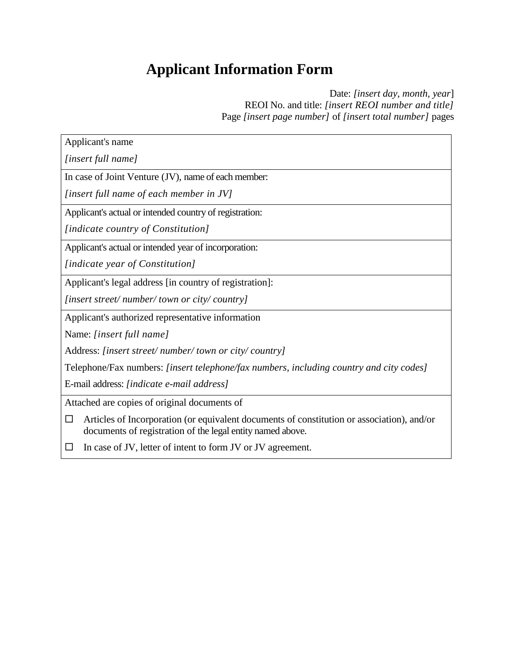## **Applicant Information Form**

Date: *[insert day, month, year*] REOI No. and title: *[insert REOI number and title]* Page *[insert page number]* of *[insert total number]* pages

| Applicant's name                                                                                                                                              |  |  |  |  |
|---------------------------------------------------------------------------------------------------------------------------------------------------------------|--|--|--|--|
| [insert full name]                                                                                                                                            |  |  |  |  |
| In case of Joint Venture (JV), name of each member:                                                                                                           |  |  |  |  |
| [insert full name of each member in JV]                                                                                                                       |  |  |  |  |
| Applicant's actual or intended country of registration:                                                                                                       |  |  |  |  |
| [indicate country of Constitution]                                                                                                                            |  |  |  |  |
| Applicant's actual or intended year of incorporation:                                                                                                         |  |  |  |  |
| [indicate year of Constitution]                                                                                                                               |  |  |  |  |
| Applicant's legal address [in country of registration]:                                                                                                       |  |  |  |  |
| [insert street/number/town or city/country]                                                                                                                   |  |  |  |  |
| Applicant's authorized representative information                                                                                                             |  |  |  |  |
| Name: [insert full name]                                                                                                                                      |  |  |  |  |
| Address: [insert street/number/town or city/country]                                                                                                          |  |  |  |  |
| Telephone/Fax numbers: [insert telephone/fax numbers, including country and city codes]                                                                       |  |  |  |  |
| E-mail address: [indicate e-mail address]                                                                                                                     |  |  |  |  |
| Attached are copies of original documents of                                                                                                                  |  |  |  |  |
| Articles of Incorporation (or equivalent documents of constitution or association), and/or<br>□<br>documents of registration of the legal entity named above. |  |  |  |  |
| In case of JV, letter of intent to form JV or JV agreement.                                                                                                   |  |  |  |  |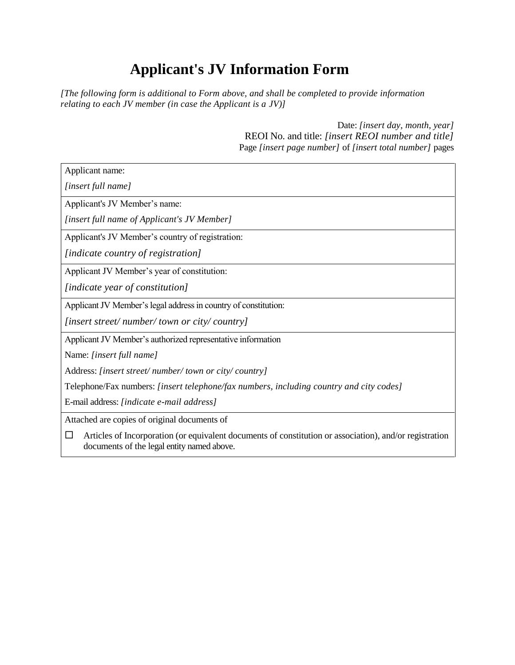## **Applicant's JV Information Form**

*[The following form is additional to Form above, and shall be completed to provide information relating to each JV member (in case the Applicant is a JV)]*

> Date: *[insert day, month, year]* REOI No. and title: *[insert REOI number and title]* Page *[insert page number]* of *[insert total number]* pages

Applicant name: *[insert full name]* Applicant's JV Member's name: *[insert full name of Applicant's JV Member]* Applicant's JV Member's country of registration: *[indicate country of registration]* Applicant JV Member's year of constitution: *[indicate year of constitution]* Applicant JV Member's legal address in country of constitution: *[insert street/ number/ town or city/ country]* Applicant JV Member's authorized representative information Name: *[insert full name]* Address: *[insert street/ number/ town or city/ country]* Telephone/Fax numbers: *[insert telephone/fax numbers, including country and city codes]* E-mail address: *[indicate e-mail address]* Attached are copies of original documents of  $\Box$  Articles of Incorporation (or equivalent documents of constitution or association), and/or registration documents of the legal entity named above.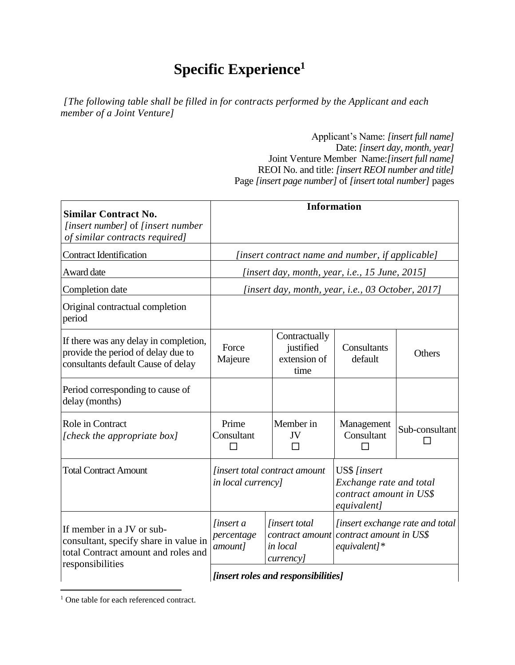## **Specific Experience<sup>1</sup>**

*[The following table shall be filled in for contracts performed by the Applicant and each member of a Joint Venture]*

> Applicant's Name: *[insert full name]* Date: *[insert day, month, year]* Joint Venture Member Name:*[insert full name]* REOI No. and title: *[insert REOI number and title]* Page *[insert page number]* of *[insert total number]* pages

| <b>Similar Contract No.</b><br><i>[insert number]</i> of <i>[insert number</i> ]<br>of similar contracts required]            |                                                            |                                                                          | <b>Information</b>                                                                |                                 |
|-------------------------------------------------------------------------------------------------------------------------------|------------------------------------------------------------|--------------------------------------------------------------------------|-----------------------------------------------------------------------------------|---------------------------------|
| <b>Contract Identification</b>                                                                                                | [insert contract name and number, if applicable]           |                                                                          |                                                                                   |                                 |
| Award date                                                                                                                    | [insert day, month, year, i.e., 15 June, 2015]             |                                                                          |                                                                                   |                                 |
| Completion date                                                                                                               | [insert day, month, year, i.e., 03 October, 2017]          |                                                                          |                                                                                   |                                 |
| Original contractual completion<br>period                                                                                     |                                                            |                                                                          |                                                                                   |                                 |
| If there was any delay in completion,<br>provide the period of delay due to<br>consultants default Cause of delay             | Force<br>Majeure                                           | Contractually<br>justified<br>extension of<br>time                       | Consultants<br>default                                                            | Others                          |
| Period corresponding to cause of<br>delay (months)                                                                            |                                                            |                                                                          |                                                                                   |                                 |
| Role in Contract<br>[check the appropriate box]                                                                               | Prime<br>Consultant                                        | Member in<br>JV<br>П                                                     | Management<br>Consultant                                                          | Sub-consultant                  |
| <b>Total Contract Amount</b>                                                                                                  | <i>finsert total contract amount</i><br>in local currency] |                                                                          | US\$ [insert<br>Exchange rate and total<br>contract amount in US\$<br>equivalent] |                                 |
| If member in a JV or sub-<br>consultant, specify share in value in<br>total Contract amount and roles and<br>responsibilities | <i>finsert a</i><br>percentage<br>amount]                  | <i>linsert</i> total<br>contract amount<br>in local<br><i>currency</i> ] | contract amount in US\$<br>$equivalent$ ]*                                        | [insert exchange rate and total |
|                                                                                                                               | [insert roles and responsibilities]                        |                                                                          |                                                                                   |                                 |

<sup>&</sup>lt;sup>1</sup> One table for each referenced contract.

 $\overline{a}$